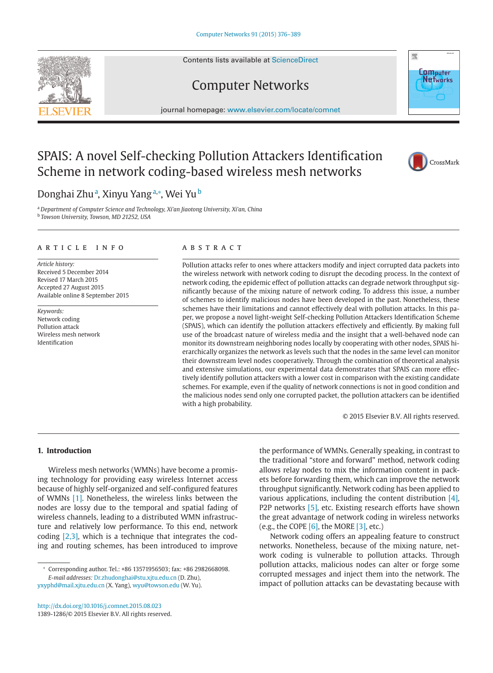Contents lists available at [ScienceDirect](http://www.ScienceDirect.com)

# Computer Networks

journal homepage: [www.elsevier.com/locate/comnet](http://www.elsevier.com/locate/comnet)

# SPAIS: A novel Self-checking Pollution Attackers Identification Scheme in network coding-based wireless mesh networks



<sup>a</sup> *Department of Computer Science and Technology, Xi'an Jiaotong University, Xi'an, China* <sup>b</sup> *Towson University, Towson, MD 21252, USA*

#### article info

*Article history:* Received 5 December 2014 Revised 17 March 2015 Accepted 27 August 2015 Available online 8 September 2015

*Keywords:* Network coding Pollution attack Wireless mesh network Identification

## **ABSTRACT**

Pollution attacks refer to ones where attackers modify and inject corrupted data packets into the wireless network with network coding to disrupt the decoding process. In the context of network coding, the epidemic effect of pollution attacks can degrade network throughput significantly because of the mixing nature of network coding. To address this issue, a number of schemes to identify malicious nodes have been developed in the past. Nonetheless, these schemes have their limitations and cannot effectively deal with pollution attacks. In this paper, we propose a novel light-weight Self-checking Pollution Attackers Identification Scheme (SPAIS), which can identify the pollution attackers effectively and efficiently. By making full use of the broadcast nature of wireless media and the insight that a well-behaved node can monitor its downstream neighboring nodes locally by cooperating with other nodes, SPAIS hierarchically organizes the network as levels such that the nodes in the same level can monitor their downstream level nodes cooperatively. Through the combination of theoretical analysis and extensive simulations, our experimental data demonstrates that SPAIS can more effectively identify pollution attackers with a lower cost in comparison with the existing candidate schemes. For example, even if the quality of network connections is not in good condition and the malicious nodes send only one corrupted packet, the pollution attackers can be identified with a high probability.

© 2015 Elsevier B.V. All rights reserved.

# **1. Introduction**

Wireless mesh networks (WMNs) have become a promising technology for providing easy wireless Internet access because of highly self-organized and self-configured features of WMNs [\[1\].](#page--1-0) Nonetheless, the wireless links between the nodes are lossy due to the temporal and spatial fading of wireless channels, leading to a distributed WMN infrastructure and relatively low performance. To this end, network coding [\[2,3\],](#page--1-0) which is a technique that integrates the coding and routing schemes, has been introduced to improve the performance of WMNs. Generally speaking, in contrast to the traditional "store and forward" method, network coding allows relay nodes to mix the information content in packets before forwarding them, which can improve the network throughput significantly. Network coding has been applied to various applications, including the content distribution  $[4]$ , P2P networks [\[5\],](#page--1-0) etc. Existing research efforts have shown the great advantage of network coding in wireless networks (e.g., the COPE  $[6]$ , the MORE  $[3]$ , etc.)

Network coding offers an appealing feature to construct networks. Nonetheless, because of the mixing nature, network coding is vulnerable to pollution attacks. Through pollution attacks, malicious nodes can alter or forge some corrupted messages and inject them into the network. The impact of pollution attacks can be devastating because with







<sup>∗</sup> Corresponding author. Tel.: +86 13571956503; fax: +86 2982668098. *E-mail addresses:* [Dr.zhudonghai@stu.xjtu.edu.cn](mailto:Dr.zhudonghai@stu.xjtu.edu.cn) (D. Zhu),

yxyphd@mail.xjtu.edu.cn (X. Yang), [wyu@towson.edu](mailto:wyu@towson.edu) (W. Yu).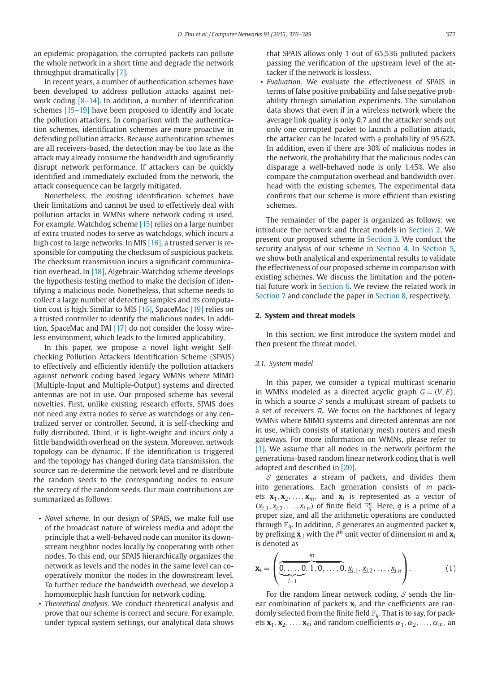an epidemic propagation, the corrupted packets can pollute the whole network in a short time and degrade the network throughput dramatically [\[7\].](#page--1-0)

In recent years, a number of authentication schemes have been developed to address pollution attacks against network coding [\[8–14\].](#page--1-0) In addition, a number of identification schemes [\[15–19\]](#page--1-0) have been proposed to identify and locate the pollution attackers. In comparison with the authentication schemes, identification schemes are more proactive in defending pollution attacks. Because authentication schemes are all receivers-based, the detection may be too late as the attack may already consume the bandwidth and significantly disrupt network performance. If attackers can be quickly identified and immediately excluded from the network, the attack consequence can be largely mitigated.

Nonetheless, the existing identification schemes have their limitations and cannot be used to effectively deal with pollution attacks in WMNs where network coding is used. For example, Watchdog scheme [\[15\]](#page--1-0) relies on a large number of extra trusted nodes to serve as watchdogs, which incurs a high cost to large networks. In MIS [\[16\],](#page--1-0) a trusted server is responsible for computing the checksum of suspicious packets. The checksum transmission incurs a significant communication overhead. In [\[18\],](#page--1-0) Algebraic-Watchdog scheme develops the hypothesis testing method to make the decision of identifying a malicious node. Nonetheless, that scheme needs to collect a large number of detecting samples and its computation cost is high. Similar to MIS [\[16\],](#page--1-0) SpaceMac [\[19\]](#page--1-0) relies on a trusted controller to identify the malicious nodes. In addition, SpaceMac and PAI [\[17\]](#page--1-0) do not consider the lossy wireless environment, which leads to the limited applicability.

In this paper, we propose a novel light-weight Selfchecking Pollution Attackers Identification Scheme (SPAIS) to effectively and efficiently identify the pollution attackers against network coding based legacy WMNs where MIMO (Multiple-Input and Multiple-Output) systems and directed antennas are not in use. Our proposed scheme has several novelties. First, unlike existing research efforts, SPAIS does not need any extra nodes to serve as watchdogs or any centralized server or controller. Second, it is self-checking and fully distributed. Third, it is light-weight and incurs only a little bandwidth overhead on the system. Moreover, network topology can be dynamic. If the identification is triggered and the topology has changed during data transmission, the source can re-determine the network level and re-distribute the random seeds to the corresponding nodes to ensure the secrecy of the random seeds. Our main contributions are summarized as follows:

- *Novel scheme.* In our design of SPAIS, we make full use of the broadcast nature of wireless media and adopt the principle that a well-behaved node can monitor its downstream neighbor nodes locally by cooperating with other nodes. To this end, our SPAIS hierarchically organizes the network as levels and the nodes in the same level can cooperatively monitor the nodes in the downstream level. To further reduce the bandwidth overhead, we develop a homomorphic hash function for network coding.
- *Theoretical analysis.* We conduct theoretical analysis and prove that our scheme is correct and secure. For example, under typical system settings, our analytical data shows

that SPAIS allows only 1 out of 65,536 polluted packets passing the verification of the upstream level of the attacker if the network is lossless.

• *Evaluation.* We evaluate the effectiveness of SPAIS in terms of false positive probability and false negative probability through simulation experiments. The simulation data shows that even if in a wireless network where the average link quality is only 0.7 and the attacker sends out only one corrupted packet to launch a pollution attack, the attacker can be located with a probability of 95.62%. In addition, even if there are 30% of malicious nodes in the network, the probability that the malicious nodes can disparage a well-behaved node is only 1.45%. We also compare the computation overhead and bandwidth overhead with the existing schemes. The experimental data confirms that our scheme is more efficient than existing schemes.

The remainder of the paper is organized as follows: we introduce the network and threat models in Section 2. We present our proposed scheme in [Section 3.](#page--1-0) We conduct the security analysis of our scheme in [Section 4.](#page--1-0) In [Section 5,](#page--1-0) we show both analytical and experimental results to validate the effectiveness of our proposed scheme in comparison with existing schemes. We discuss the limitation and the potential future work in [Section 6.](#page--1-0) We review the related work in [Section 7](#page--1-0) and conclude the paper in [Section 8,](#page--1-0) respectively.

### **2. System and threat models**

In this section, we first introduce the system model and then present the threat model.

### *2.1. System model*

In this paper, we consider a typical multicast scenario in WMNs modeled as a directed acyclic graph  $G = (V, E)$ , in which a source  $S$  sends a multicast stream of packets to a set of receivers  $R$ . We focus on the backbones of legacy WMNs where MIMO systems and directed antennas are not in use, which consists of stationary mesh routers and mesh gateways. For more information on WMNs, please refer to [\[1\].](#page--1-0) We assume that all nodes in the network perform the generations-based random linear network coding that is well adopted and described in [\[20\].](#page--1-0)

 $S$  generates a stream of packets, and divides them into generations. Each generation consists of *m* packets  $\underline{\mathbf{x}}_1, \underline{\mathbf{x}}_2, ..., \underline{\mathbf{x}}_m$ , and  $\underline{\mathbf{x}}_i$  is represented as a vector of  $(\underline{x}_{i,1}, \underline{x}_{i,2}, \ldots, \underline{x}_{i,n})$  of finite field  $\mathbb{F}_q^n$ . Here, *q* is a prime of a proper size, and all the arithmetic operations are conducted through  $\mathbb{F}_q$ . In addition, S generates an augmented packet  $\mathbf{x}_i$ by prefixing  $\underline{\mathbf{x}}_i$  with the *i*<sup>th</sup> unit vector of dimension *m* and  $\mathbf{x}_i$ is denoted as

$$
\mathbf{x}_{i} = \left(\underbrace{0, \ldots, 0, 1, 0, \ldots, 0}_{i-1}, \underbrace{x_{i,1}, x_{i,2}, \ldots, x_{i,n}}_{(1)}\right).
$$
 (1)

For the random linear network coding,  $S$  sends the linear combination of packets **x***<sup>i</sup>* and the coefficients are randomly selected from the finite field  $\mathbb{F}_q$ . That is to say, for packets  $\mathbf{x}_1, \mathbf{x}_2, \ldots, \mathbf{x}_m$  and random coefficients  $\alpha_1, \alpha_2, \ldots, \alpha_m$ , an